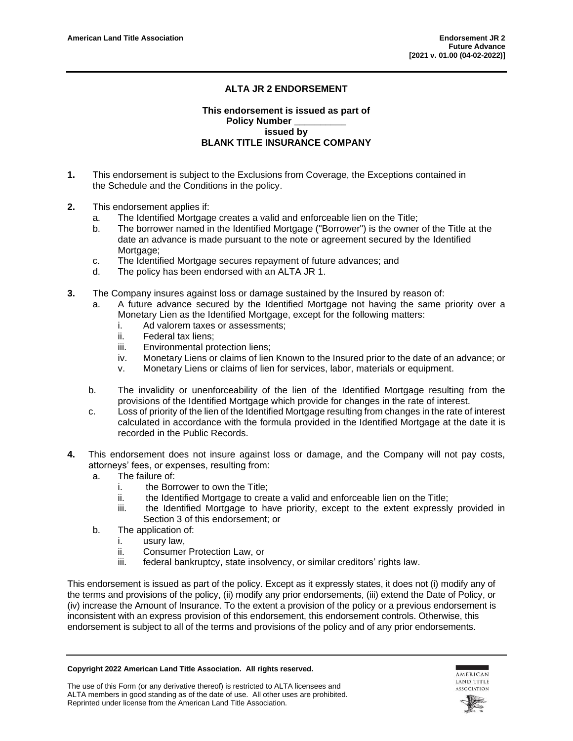## **ALTA JR 2 ENDORSEMENT**

## **This endorsement is issued as part of Policy Number \_\_\_\_\_\_\_\_\_\_ issued by BLANK TITLE INSURANCE COMPANY**

- **1.** This endorsement is subject to the Exclusions from Coverage, the Exceptions contained in the Schedule and the Conditions in the policy.
- **2.** This endorsement applies if:
	- a. The Identified Mortgage creates a valid and enforceable lien on the Title;
	- b. The borrower named in the Identified Mortgage ("Borrower") is the owner of the Title at the date an advance is made pursuant to the note or agreement secured by the Identified Mortgage:
	- c. The Identified Mortgage secures repayment of future advances; and
	- d. The policy has been endorsed with an ALTA JR 1.
- **3.** The Company insures against loss or damage sustained by the Insured by reason of:
	- a. A future advance secured by the Identified Mortgage not having the same priority over a Monetary Lien as the Identified Mortgage, except for the following matters:
		- i. Ad valorem taxes or assessments;
		- ii. Federal tax liens;
		- iii. Environmental protection liens;
		- iv. Monetary Liens or claims of lien Known to the Insured prior to the date of an advance; or
		- v. Monetary Liens or claims of lien for services, labor, materials or equipment.
	- b. The invalidity or unenforceability of the lien of the Identified Mortgage resulting from the provisions of the Identified Mortgage which provide for changes in the rate of interest.
	- c. Loss of priority of the lien of the Identified Mortgage resulting from changes in the rate of interest calculated in accordance with the formula provided in the Identified Mortgage at the date it is recorded in the Public Records.
- **4.** This endorsement does not insure against loss or damage, and the Company will not pay costs, attorneys' fees, or expenses, resulting from:
	- a. The failure of:
		- i. the Borrower to own the Title;
		- ii. the Identified Mortgage to create a valid and enforceable lien on the Title;
		- iii. the Identified Mortgage to have priority, except to the extent expressly provided in Section 3 of this endorsement; or
	- b. The application of:
		- i. usury law,
		- ii. Consumer Protection Law, or
		- iii. federal bankruptcy, state insolvency, or similar creditors' rights law.

This endorsement is issued as part of the policy. Except as it expressly states, it does not (i) modify any of the terms and provisions of the policy, (ii) modify any prior endorsements, (iii) extend the Date of Policy, or (iv) increase the Amount of Insurance. To the extent a provision of the policy or a previous endorsement is inconsistent with an express provision of this endorsement, this endorsement controls. Otherwise, this endorsement is subject to all of the terms and provisions of the policy and of any prior endorsements.

## **Copyright 2022 American Land Title Association. All rights reserved.**

The use of this Form (or any derivative thereof) is restricted to ALTA licensees and ALTA members in good standing as of the date of use. All other uses are prohibited. Reprinted under license from the American Land Title Association.